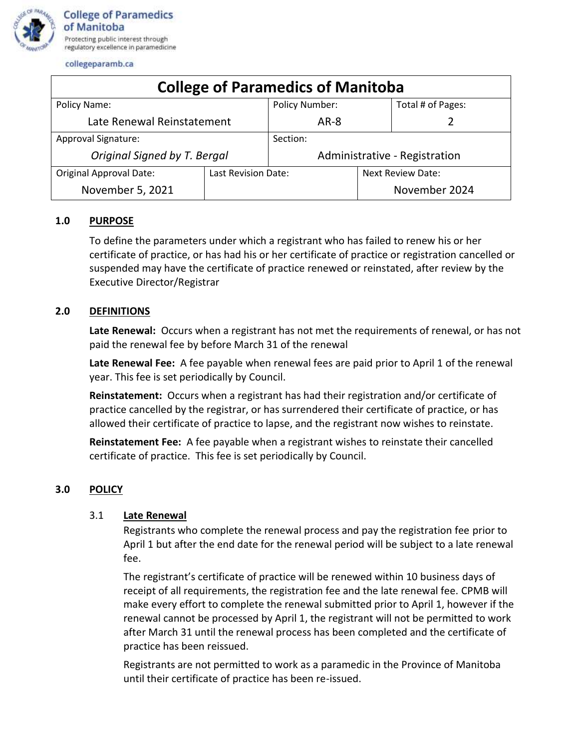

collegeparamb.ca

| <b>College of Paramedics of Manitoba</b> |                     |                               |                   |                   |
|------------------------------------------|---------------------|-------------------------------|-------------------|-------------------|
| Policy Name:                             |                     | Policy Number:                |                   | Total # of Pages: |
| Late Renewal Reinstatement               |                     | $AR-8$                        |                   |                   |
| <b>Approval Signature:</b>               |                     | Section:                      |                   |                   |
| Original Signed by T. Bergal             |                     | Administrative - Registration |                   |                   |
| Original Approval Date:                  | Last Revision Date: |                               | Next Review Date: |                   |
| November 5, 2021                         |                     |                               |                   | November 2024     |

# **1.0 PURPOSE**

To define the parameters under which a registrant who has failed to renew his or her certificate of practice, or has had his or her certificate of practice or registration cancelled or suspended may have the certificate of practice renewed or reinstated, after review by the Executive Director/Registrar

## **2.0 DEFINITIONS**

**Late Renewal:** Occurs when a registrant has not met the requirements of renewal, or has not paid the renewal fee by before March 31 of the renewal

**Late Renewal Fee:** A fee payable when renewal fees are paid prior to April 1 of the renewal year. This fee is set periodically by Council.

**Reinstatement:** Occurs when a registrant has had their registration and/or certificate of practice cancelled by the registrar, or has surrendered their certificate of practice, or has allowed their certificate of practice to lapse, and the registrant now wishes to reinstate.

**Reinstatement Fee:** A fee payable when a registrant wishes to reinstate their cancelled certificate of practice. This fee is set periodically by Council.

## **3.0 POLICY**

#### 3.1 **Late Renewal**

Registrants who complete the renewal process and pay the registration fee prior to April 1 but after the end date for the renewal period will be subject to a late renewal fee.

The registrant's certificate of practice will be renewed within 10 business days of receipt of all requirements, the registration fee and the late renewal fee. CPMB will make every effort to complete the renewal submitted prior to April 1, however if the renewal cannot be processed by April 1, the registrant will not be permitted to work after March 31 until the renewal process has been completed and the certificate of practice has been reissued.

Registrants are not permitted to work as a paramedic in the Province of Manitoba until their certificate of practice has been re-issued.